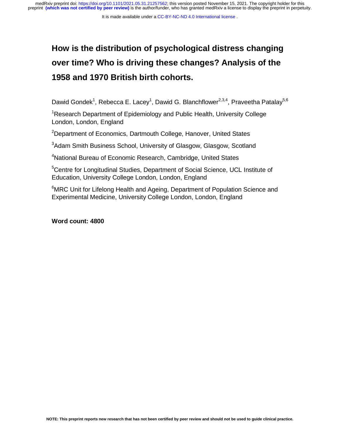medRxiv preprint doi: [https://doi.org/10.1101/2021.05.31.21257562;](https://doi.org/10.1101/2021.05.31.21257562) this version posted November 15, 2021. The copyright holder for this<br>preprint (which was not certified by peer review) is the author/funder, who has grante

# **How is the distribution of psychological distress changing over time? Who is driving these changes? Analysis of the 1958 and 1970 British birth cohorts.**

Dawid Gondek<sup>1</sup>, Rebecca E. Lacey<sup>1</sup>, Dawid G. Blanchflower<sup>2,3,4</sup>, Praveetha Patalay<sup>5,6</sup>

 $\begin{array}{c} 1 \\ 1 \\ 2 \end{array}$ <sup>1</sup>Research Department of Epidemiology and Public Health, University College London, London, England

<sup>2</sup>Department of Economics, Dartmouth College, Hanover, United States

<sup>3</sup>Adam Smith Business School, University of Glasgow, Glasgow, Scotland

<sup>4</sup>National Bureau of Economic Research, Cambridge, United States

<sup>5</sup>Centre for Longitudinal Studies, Department of Social Science, UCL Institute of Education, University College London, London, England

<sup>6</sup>MRC Unit for Lifelong Health and Ageing, Department of Population Science and Experimental Medicine, University College London, London, England

**Word count: 4800**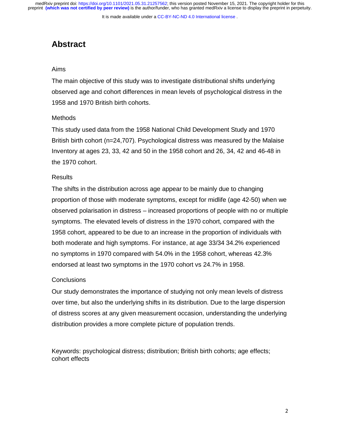It is made available under a [CC-BY-NC-ND 4.0 International license](http://creativecommons.org/licenses/by-nc-nd/4.0/) .

## **Abstract**

## Aims

 $\frac{1}{2}$ The main objective of this study was to investigate distributional shifts underlying observed age and cohort differences in mean levels of psychological distress in the 1958 and 1970 British birth cohorts.

## **Methods**

This study used data from the 1958 National Child Development Study and 1970 British birth cohort (n=24,707). Psychological distress was measured by the Malaise Inventory at ages 23, 33, 42 and 50 in the 1958 cohort and 26, 34, 42 and 46-48 in the 1970 cohort.

## **Results**

The shifts in the distribution across age appear to be mainly due to changing proportion of those with moderate symptoms, except for midlife (age 42-50) when we observed polarisation in distress – increased proportions of people with no or multiple symptoms. The elevated levels of distress in the 1970 cohort, compared with the 1958 cohort, appeared to be due to an increase in the proportion of individuals with both moderate and high symptoms. For instance, at age 33/34 34.2% experienced no symptoms in 1970 compared with 54.0% in the 1958 cohort, whereas 42.3% endorsed at least two symptoms in the 1970 cohort vs 24.7% in 1958.

## **Conclusions**

Our study demonstrates the importance of studying not only mean levels of distress over time, but also the underlying shifts in its distribution. Due to the large dispersion of distress scores at any given measurement occasion, understanding the underlying distribution provides a more complete picture of population trends.

Keywords: psychological distress; distribution; British birth cohorts; age effects; cohort effects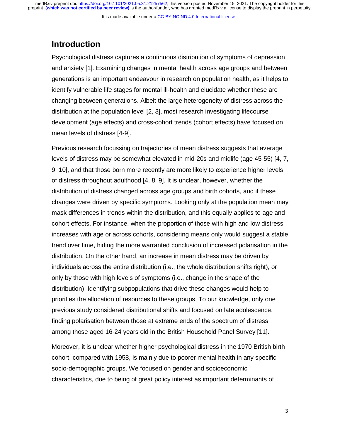It is made available under a [CC-BY-NC-ND 4.0 International license](http://creativecommons.org/licenses/by-nc-nd/4.0/) .

## **Introduction**

Psychological distress captures a continuous distribution of symptoms of depression and anxiety [1]. Examining changes in mental health across age groups and between generations is an important endeavour in research on population health, as it helps to identify vulnerable life stages for mental ill-health and elucidate whether these are changing between generations. Albeit the large heterogeneity of distress across the distribution at the population level [2, 3], most research investigating lifecourse development (age effects) and cross-cohort trends (cohort effects) have focused on mean levels of distress [4-9].

Previous research focussing on trajectories of mean distress suggests that average levels of distress may be somewhat elevated in mid-20s and midlife (age 45-55) [4, 7, 9, 10], and that those born more recently are more likely to experience higher levels of distress throughout adulthood [4, 8, 9]. It is unclear, however, whether the distribution of distress changed across age groups and birth cohorts, and if these changes were driven by specific symptoms. Looking only at the population mean may mask differences in trends within the distribution, and this equally applies to age and cohort effects. For instance, when the proportion of those with high and low distress increases with age or across cohorts, considering means only would suggest a stable trend over time, hiding the more warranted conclusion of increased polarisation in the distribution. On the other hand, an increase in mean distress may be driven by individuals across the entire distribution (i.e., the whole distribution shifts right), or only by those with high levels of symptoms (i.e., change in the shape of the distribution). Identifying subpopulations that drive these changes would help to priorities the allocation of resources to these groups. To our knowledge, only one previous study considered distributional shifts and focused on late adolescence, finding polarisation between those at extreme ends of the spectrum of distress among those aged 16-24 years old in the British Household Panel Survey [11].

Moreover, it is unclear whether higher psychological distress in the 1970 British birth cohort, compared with 1958, is mainly due to poorer mental health in any specific socio-demographic groups. We focused on gender and socioeconomic characteristics, due to being of great policy interest as important determinants of

3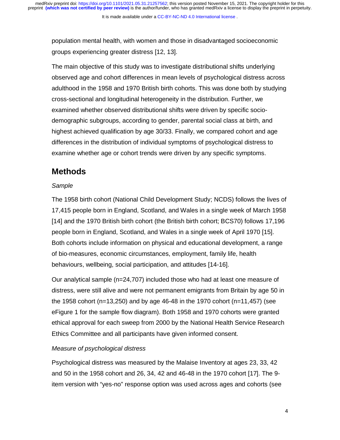population mental health, with women and those in disadvantaged socioeconomic groups experiencing greater distress [12, 13].

The main objective of this study was to investigate distributional shifts underlying observed age and cohort differences in mean levels of psychological distress across adulthood in the 1958 and 1970 British birth cohorts. This was done both by studying cross-sectional and longitudinal heterogeneity in the distribution. Further, we examined whether observed distributional shifts were driven by specific sociodemographic subgroups, according to gender, parental social class at birth, and highest achieved qualification by age 30/33. Finally, we compared cohort and age differences in the distribution of individual symptoms of psychological distress to examine whether age or cohort trends were driven by any specific symptoms.

## **Methods**

## *Sample*

The 1958 birth cohort (National Child Development Study; NCDS) follows the lives of 17,415 people born in England, Scotland, and Wales in a single week of March 1958 [14] and the 1970 British birth cohort (the British birth cohort; BCS70) follows 17,196 people born in England, Scotland, and Wales in a single week of April 1970 [15]. Both cohorts include information on physical and educational development, a range of bio-measures, economic circumstances, employment, family life, health behaviours, wellbeing, social participation, and attitudes [14-16].

Our analytical sample (n=24,707) included those who had at least one measure of distress, were still alive and were not permanent emigrants from Britain by age 50 in the 1958 cohort (n=13,250) and by age 46-48 in the 1970 cohort (n=11,457) (see eFigure 1 for the sample flow diagram). Both 1958 and 1970 cohorts were granted ethical approval for each sweep from 2000 by the National Health Service Research Ethics Committee and all participants have given informed consent.

## *Measure of psychological distress*

Psychological distress was measured by the Malaise Inventory at ages 23, 33, 42 and 50 in the 1958 cohort and 26, 34, 42 and 46-48 in the 1970 cohort [17]. The 9 item version with "yes-no" response option was used across ages and cohorts (see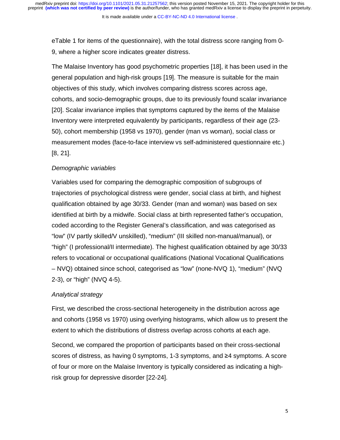eTable 1 for items of the questionnaire), with the total distress score ranging from 0- 9, where a higher score indicates greater distress.

The Malaise Inventory has good psychometric properties [18], it has been used in the general population and high-risk groups [19]. The measure is suitable for the main objectives of this study, which involves comparing distress scores across age, cohorts, and socio-demographic groups, due to its previously found scalar invariance [20]. Scalar invariance implies that symptoms captured by the items of the Malaise Inventory were interpreted equivalently by participants, regardless of their age (23- 50), cohort membership (1958 vs 1970), gender (man vs woman), social class or measurement modes (face-to-face interview vs self-administered questionnaire etc.) [8, 21].

## *Demographic variables*

Variables used for comparing the demographic composition of subgroups of trajectories of psychological distress were gender, social class at birth, and highest qualification obtained by age 30/33. Gender (man and woman) was based on sex identified at birth by a midwife. Social class at birth represented father's occupation, coded according to the Register General's classification, and was categorised as "low" (IV partly skilled/V unskilled), "medium" (III skilled non-manual/manual), or "high" (I professional/II intermediate). The highest qualification obtained by age 30/33 refers to vocational or occupational qualifications (National Vocational Qualifications – NVQ) obtained since school, categorised as "low" (none-NVQ 1), "medium" (NVQ 2-3), or "high" (NVQ 4-5).

## *Analytical strategy*

First, we described the cross-sectional heterogeneity in the distribution across age and cohorts (1958 vs 1970) using overlying histograms, which allow us to present the extent to which the distributions of distress overlap across cohorts at each age.

Second, we compared the proportion of participants based on their cross-sectional scores of distress, as having 0 symptoms, 1-3 symptoms, and ≥4 symptoms. A score of four or more on the Malaise Inventory is typically considered as indicating a highrisk group for depressive disorder [22-24].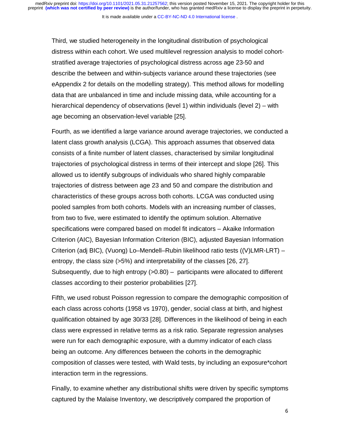It is made available under a CC-BY-NC-ND 4.0 International license.

Third, we studied heterogeneity in the longitudinal distribution of psychological distress within each cohort. We used multilevel regression analysis to model cohortstratified average trajectories of psychological distress across age 23-50 and describe the between and within-subjects variance around these trajectories (see eAppendix 2 for details on the modelling strategy). This method allows for modelling data that are unbalanced in time and include missing data, while accounting for a hierarchical dependency of observations (level 1) within individuals (level 2) – with age becoming an observation-level variable [25].

Fourth, as we identified a large variance around average trajectories, we conducted a latent class growth analysis (LCGA). This approach assumes that observed data consists of a finite number of latent classes, characterised by similar longitudinal trajectories of psychological distress in terms of their intercept and slope [26]. This allowed us to identify subgroups of individuals who shared highly comparable trajectories of distress between age 23 and 50 and compare the distribution and characteristics of these groups across both cohorts. LCGA was conducted using pooled samples from both cohorts. Models with an increasing number of classes, from two to five, were estimated to identify the optimum solution. Alternative specifications were compared based on model fit indicators – Akaike Information Criterion (AIC), Bayesian Information Criterion (BIC), adjusted Bayesian Information Criterion (adj BIC), (Vuong) Lo–Mendell–Rubin likelihood ratio tests ((V)LMR-LRT) – entropy, the class size (>5%) and interpretability of the classes [26, 27]. Subsequently, due to high entropy  $(0.80)$  – participants were allocated to different classes according to their posterior probabilities [27].

Fifth, we used robust Poisson regression to compare the demographic composition of each class across cohorts (1958 vs 1970), gender, social class at birth, and highest qualification obtained by age 30/33 [28]. Differences in the likelihood of being in each class were expressed in relative terms as a risk ratio. Separate regression analyses were run for each demographic exposure, with a dummy indicator of each class being an outcome. Any differences between the cohorts in the demographic composition of classes were tested, with Wald tests, by including an exposure\*cohort interaction term in the regressions.

Finally, to examine whether any distributional shifts were driven by specific symptoms captured by the Malaise Inventory, we descriptively compared the proportion of

6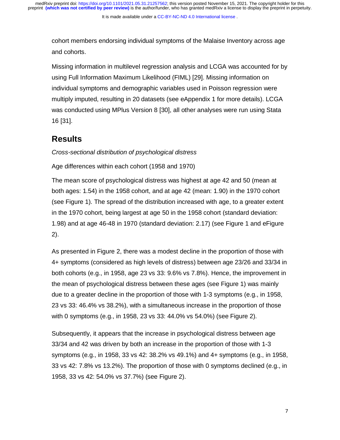cohort members endorsing individual symptoms of the Malaise Inventory across age and cohorts.

Missing information in multilevel regression analysis and LCGA was accounted for by using Full Information Maximum Likelihood (FIML) [29]. Missing information on individual symptoms and demographic variables used in Poisson regression were multiply imputed, resulting in 20 datasets (see eAppendix 1 for more details). LCGA was conducted using MPlus Version 8 [30], all other analyses were run using Stata 16 [31].

## **Results**

*Cross-sectional distribution of psychological distress* 

Age differences within each cohort (1958 and 1970)

The mean score of psychological distress was highest at age 42 and 50 (mean at both ages: 1.54) in the 1958 cohort, and at age 42 (mean: 1.90) in the 1970 cohort (see Figure 1). The spread of the distribution increased with age, to a greater extent in the 1970 cohort, being largest at age 50 in the 1958 cohort (standard deviation: 1.98) and at age 46-48 in 1970 (standard deviation: 2.17) (see Figure 1 and eFigure 2).

As presented in Figure 2, there was a modest decline in the proportion of those with 4+ symptoms (considered as high levels of distress) between age 23/26 and 33/34 in both cohorts (e.g., in 1958, age 23 vs 33: 9.6% vs 7.8%). Hence, the improvement in the mean of psychological distress between these ages (see Figure 1) was mainly due to a greater decline in the proportion of those with 1-3 symptoms (e.g., in 1958, 23 vs 33: 46.4% vs 38.2%), with a simultaneous increase in the proportion of those with 0 symptoms (e.g., in 1958, 23 vs 33: 44.0% vs 54.0%) (see Figure 2).

Subsequently, it appears that the increase in psychological distress between age 33/34 and 42 was driven by both an increase in the proportion of those with 1-3 symptoms (e.g., in 1958, 33 vs 42: 38.2% vs 49.1%) and 4+ symptoms (e.g., in 1958, 33 vs 42: 7.8% vs 13.2%). The proportion of those with 0 symptoms declined (e.g., in 1958, 33 vs 42: 54.0% vs 37.7%) (see Figure 2).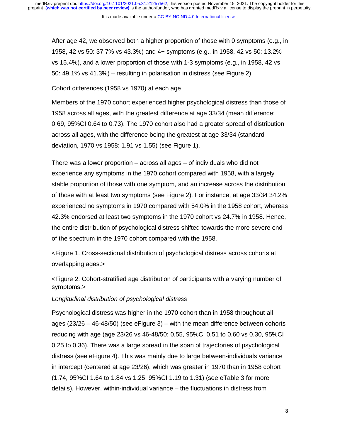It is made available under a CC-BY-NC-ND 4.0 International license.

After age 42, we observed both a higher proportion of those with 0 symptoms (e.g., in 1958, 42 vs 50: 37.7% vs 43.3%) and 4+ symptoms (e.g., in 1958, 42 vs 50: 13.2% vs 15.4%), and a lower proportion of those with 1-3 symptoms (e.g., in 1958, 42 vs 50: 49.1% vs 41.3%) – resulting in polarisation in distress (see Figure 2).

Cohort differences (1958 vs 1970) at each age

Members of the 1970 cohort experienced higher psychological distress than those of 1958 across all ages, with the greatest difference at age 33/34 (mean difference: 0.69, 95%CI 0.64 to 0.73). The 1970 cohort also had a greater spread of distribution across all ages, with the difference being the greatest at age 33/34 (standard deviation, 1970 vs 1958: 1.91 vs 1.55) (see Figure 1).

There was a lower proportion – across all ages – of individuals who did not experience any symptoms in the 1970 cohort compared with 1958, with a largely stable proportion of those with one symptom, and an increase across the distribution of those with at least two symptoms (see Figure 2). For instance, at age 33/34 34.2% experienced no symptoms in 1970 compared with 54.0% in the 1958 cohort, whereas 42.3% endorsed at least two symptoms in the 1970 cohort vs 24.7% in 1958. Hence, the entire distribution of psychological distress shifted towards the more severe end of the spectrum in the 1970 cohort compared with the 1958.

<Figure 1. Cross-sectional distribution of psychological distress across cohorts at overlapping ages.>

<Figure 2. Cohort-stratified age distribution of participants with a varying number of symptoms.>

### *Longitudinal distribution of psychological distress*

Psychological distress was higher in the 1970 cohort than in 1958 throughout all ages (23/26 – 46-48/50) (see eFigure 3) – with the mean difference between cohorts reducing with age (age 23/26 vs 46-48/50: 0.55, 95%CI 0.51 to 0.60 vs 0.30, 95%CI 0.25 to 0.36). There was a large spread in the span of trajectories of psychological distress (see eFigure 4). This was mainly due to large between-individuals variance in intercept (centered at age 23/26), which was greater in 1970 than in 1958 cohort (1.74, 95%CI 1.64 to 1.84 vs 1.25, 95%CI 1.19 to 1.31) (see eTable 3 for more details). However, within-individual variance – the fluctuations in distress from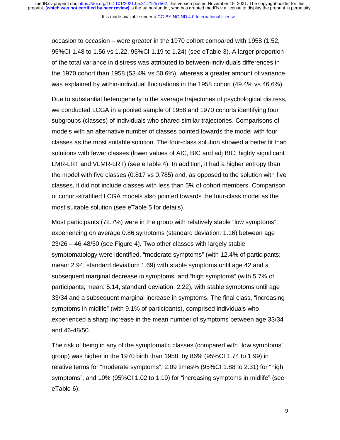It is made available under a [CC-BY-NC-ND 4.0 International license](http://creativecommons.org/licenses/by-nc-nd/4.0/) .

occasion to occasion – were greater in the 1970 cohort compared with 1958 (1.52, 95%CI 1.48 to 1.56 vs 1.22, 95%CI 1.19 to 1.24) (see eTable 3). A larger proportion of the total variance in distress was attributed to between-individuals differences in the 1970 cohort than 1958 (53.4% vs 50.6%), whereas a greater amount of variance was explained by within-individual fluctuations in the 1958 cohort (49.4% vs 46.6%).

Due to substantial heterogeneity in the average trajectories of psychological distress, we conducted LCGA in a pooled sample of 1958 and 1970 cohorts identifying four subgroups (classes) of individuals who shared similar trajectories. Comparisons of models with an alternative number of classes pointed towards the model with four classes as the most suitable solution. The four-class solution showed a better fit than solutions with fewer classes (lower values of AIC, BIC and adj BIC; highly significant LMR-LRT and VLMR-LRT) (see eTable 4). In addition, it had a higher entropy than the model with five classes (0.817 vs 0.785) and, as opposed to the solution with five classes, it did not include classes with less than 5% of cohort members. Comparison of cohort-stratified LCGA models also pointed towards the four-class model as the most suitable solution (see eTable 5 for details).

Most participants (72.7%) were in the group with relatively stable "low symptoms", experiencing on average 0.86 symptoms (standard deviation: 1.16) between age 23/26 – 46-48/50 (see Figure 4). Two other classes with largely stable symptomatology were identified, "moderate symptoms" (with 12.4% of participants; mean: 2.94, standard deviation: 1.69) with stable symptoms until age 42 and a subsequent marginal decrease in symptoms, and "high symptoms" (with 5.7% of participants; mean: 5.14, standard deviation: 2.22), with stable symptoms until age 33/34 and a subsequent marginal increase in symptoms. The final class, "increasing symptoms in midlife" (with 9.1% of participants), comprised individuals who experienced a sharp increase in the mean number of symptoms between age 33/34 and 46-48/50.

The risk of being in any of the symptomatic classes (compared with "low symptoms" group) was higher in the 1970 birth than 1958, by 86% (95%CI 1.74 to 1.99) in relative terms for "moderate symptoms", 2.09 times% (95%CI 1.88 to 2.31) for "high symptoms", and 10% (95%CI 1.02 to 1.19) for "increasing symptoms in midlife" (see eTable 6).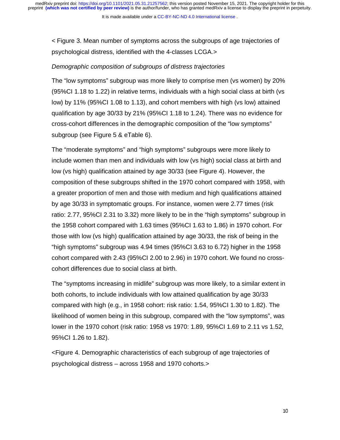It is made available under a [CC-BY-NC-ND 4.0 International license](http://creativecommons.org/licenses/by-nc-nd/4.0/) .

< Figure 3. Mean number of symptoms across the subgroups of age trajectories of psychological distress, identified with the 4-classes LCGA.>

#### *Demographic composition of subgroups of distress trajectories*

The "low symptoms" subgroup was more likely to comprise men (vs women) by 20% (95%CI 1.18 to 1.22) in relative terms, individuals with a high social class at birth (vs low) by 11% (95%CI 1.08 to 1.13), and cohort members with high (vs low) attained qualification by age 30/33 by 21% (95%CI 1.18 to 1.24). There was no evidence for cross-cohort differences in the demographic composition of the "low symptoms" subgroup (see Figure 5 & eTable 6).

The "moderate symptoms" and "high symptoms" subgroups were more likely to include women than men and individuals with low (vs high) social class at birth and low (vs high) qualification attained by age 30/33 (see Figure 4). However, the composition of these subgroups shifted in the 1970 cohort compared with 1958, with a greater proportion of men and those with medium and high qualifications attained by age 30/33 in symptomatic groups. For instance, women were 2.77 times (risk ratio: 2.77, 95%CI 2.31 to 3.32) more likely to be in the "high symptoms" subgroup in the 1958 cohort compared with 1.63 times (95%CI 1.63 to 1.86) in 1970 cohort. For those with low (vs high) qualification attained by age 30/33, the risk of being in the "high symptoms" subgroup was 4.94 times (95%CI 3.63 to 6.72) higher in the 1958 cohort compared with 2.43 (95%CI 2.00 to 2.96) in 1970 cohort. We found no crosscohort differences due to social class at birth.

The "symptoms increasing in midlife" subgroup was more likely, to a similar extent in both cohorts, to include individuals with low attained qualification by age 30/33 compared with high (e.g., in 1958 cohort: risk ratio: 1.54, 95%CI 1.30 to 1.82). The likelihood of women being in this subgroup, compared with the "low symptoms", was lower in the 1970 cohort (risk ratio: 1958 vs 1970: 1.89, 95%CI 1.69 to 2.11 vs 1.52, 95%CI 1.26 to 1.82).

<Figure 4. Demographic characteristics of each subgroup of age trajectories of psychological distress – across 1958 and 1970 cohorts.>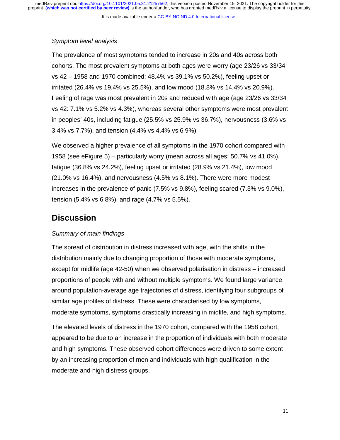It is made available under a [CC-BY-NC-ND 4.0 International license](http://creativecommons.org/licenses/by-nc-nd/4.0/) .

### *Symptom level analysis*

The prevalence of most symptoms tended to increase in 20s and 40s across both cohorts. The most prevalent symptoms at both ages were worry (age 23/26 vs 33/34 vs 42 – 1958 and 1970 combined: 48.4% vs 39.1% vs 50.2%), feeling upset or irritated (26.4% vs 19.4% vs 25.5%), and low mood (18.8% vs 14.4% vs 20.9%). Feeling of rage was most prevalent in 20s and reduced with age (age 23/26 vs 33/34 vs 42: 7.1% vs 5.2% vs 4.3%), whereas several other symptoms were most prevalent in peoples' 40s, including fatigue (25.5% vs 25.9% vs 36.7%), nervousness (3.6% vs 3.4% vs 7.7%), and tension (4.4% vs 4.4% vs 6.9%).

We observed a higher prevalence of all symptoms in the 1970 cohort compared with 1958 (see eFigure 5) – particularly worry (mean across all ages: 50.7% vs 41.0%), fatigue (36.8% vs 24.2%), feeling upset or irritated (28.9% vs 21.4%), low mood (21.0% vs 16.4%), and nervousness (4.5% vs 8.1%). There were more modest increases in the prevalence of panic (7.5% vs 9.8%), feeling scared (7.3% vs 9.0%), tension (5.4% vs 6.8%), and rage (4.7% vs 5.5%).

## **Discussion**

## *Summary of main findings*

The spread of distribution in distress increased with age, with the shifts in the distribution mainly due to changing proportion of those with moderate symptoms, except for midlife (age 42-50) when we observed polarisation in distress – increased proportions of people with and without multiple symptoms. We found large variance around population-average age trajectories of distress, identifying four subgroups of similar age profiles of distress. These were characterised by low symptoms, moderate symptoms, symptoms drastically increasing in midlife, and high symptoms.

The elevated levels of distress in the 1970 cohort, compared with the 1958 cohort, appeared to be due to an increase in the proportion of individuals with both moderate and high symptoms. These observed cohort differences were driven to some extent by an increasing proportion of men and individuals with high qualification in the moderate and high distress groups.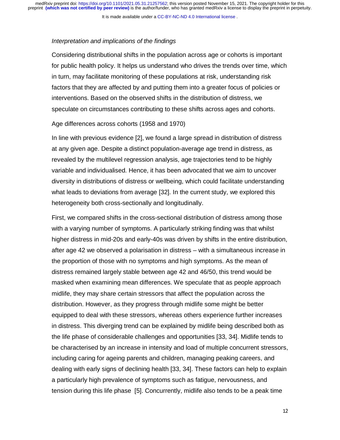It is made available under a CC-BY-NC-ND 4.0 International license.

#### *Interpretation and implications of the findings*

Considering distributional shifts in the population across age or cohorts is important for public health policy. It helps us understand who drives the trends over time, which in turn, may facilitate monitoring of these populations at risk, understanding risk factors that they are affected by and putting them into a greater focus of policies or interventions. Based on the observed shifts in the distribution of distress, we speculate on circumstances contributing to these shifts across ages and cohorts.

#### Age differences across cohorts (1958 and 1970)

In line with previous evidence [2], we found a large spread in distribution of distress at any given age. Despite a distinct population-average age trend in distress, as revealed by the multilevel regression analysis, age trajectories tend to be highly variable and individualised. Hence, it has been advocated that we aim to uncover diversity in distributions of distress or wellbeing, which could facilitate understanding what leads to deviations from average [32]. In the current study, we explored this heterogeneity both cross-sectionally and longitudinally.

First, we compared shifts in the cross-sectional distribution of distress among those with a varying number of symptoms. A particularly striking finding was that whilst higher distress in mid-20s and early-40s was driven by shifts in the entire distribution, after age 42 we observed a polarisation in distress – with a simultaneous increase in the proportion of those with no symptoms and high symptoms. As the mean of distress remained largely stable between age 42 and 46/50, this trend would be masked when examining mean differences. We speculate that as people approach midlife, they may share certain stressors that affect the population across the distribution. However, as they progress through midlife some might be better equipped to deal with these stressors, whereas others experience further increases in distress. This diverging trend can be explained by midlife being described both as the life phase of considerable challenges and opportunities [33, 34]. Midlife tends to be characterised by an increase in intensity and load of multiple concurrent stressors, including caring for ageing parents and children, managing peaking careers, and dealing with early signs of declining health [33, 34]. These factors can help to explain a particularly high prevalence of symptoms such as fatigue, nervousness, and tension during this life phase [5]. Concurrently, midlife also tends to be a peak time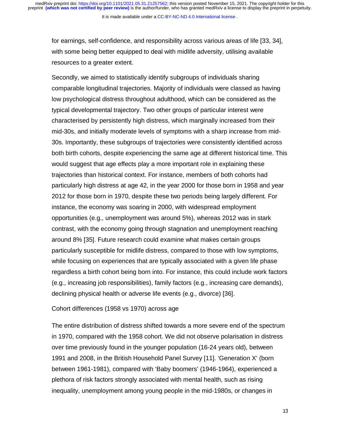It is made available under a CC-BY-NC-ND 4.0 International license.

for earnings, self-confidence, and responsibility across various areas of life [33, 34], with some being better equipped to deal with midlife adversity, utilising available resources to a greater extent.

Secondly, we aimed to statistically identify subgroups of individuals sharing comparable longitudinal trajectories. Majority of individuals were classed as having low psychological distress throughout adulthood, which can be considered as the typical developmental trajectory. Two other groups of particular interest were characterised by persistently high distress, which marginally increased from their mid-30s, and initially moderate levels of symptoms with a sharp increase from mid-30s. Importantly, these subgroups of trajectories were consistently identified across both birth cohorts, despite experiencing the same age at different historical time. This would suggest that age effects play a more important role in explaining these trajectories than historical context. For instance, members of both cohorts had particularly high distress at age 42, in the year 2000 for those born in 1958 and year 2012 for those born in 1970, despite these two periods being largely different. For instance, the economy was soaring in 2000, with widespread employment opportunities (e.g., unemployment was around 5%), whereas 2012 was in stark contrast, with the economy going through stagnation and unemployment reaching around 8% [35]. Future research could examine what makes certain groups particularly susceptible for midlife distress, compared to those with low symptoms, while focusing on experiences that are typically associated with a given life phase regardless a birth cohort being born into. For instance, this could include work factors (e.g., increasing job responsibilities), family factors (e.g., increasing care demands), declining physical health or adverse life events (e.g., divorce) [36].

#### Cohort differences (1958 vs 1970) across age

The entire distribution of distress shifted towards a more severe end of the spectrum in 1970, compared with the 1958 cohort. We did not observe polarisation in distress over time previously found in the younger population (16-24 years old), between 1991 and 2008, in the British Household Panel Survey [11]. 'Generation X' (born between 1961-1981), compared with 'Baby boomers' (1946-1964), experienced a plethora of risk factors strongly associated with mental health, such as rising inequality, unemployment among young people in the mid-1980s, or changes in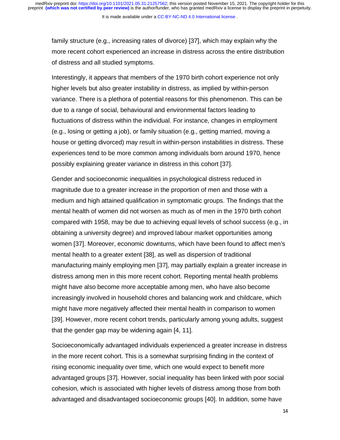It is made available under a CC-BY-NC-ND 4.0 International license.

family structure (e.g., increasing rates of divorce) [37], which may explain why the more recent cohort experienced an increase in distress across the entire distribution of distress and all studied symptoms.

Interestingly, it appears that members of the 1970 birth cohort experience not only higher levels but also greater instability in distress, as implied by within-person variance. There is a plethora of potential reasons for this phenomenon. This can be due to a range of social, behavioural and environmental factors leading to fluctuations of distress within the individual. For instance, changes in employment (e.g., losing or getting a job), or family situation (e.g., getting married, moving a house or getting divorced) may result in within-person instabilities in distress. These experiences tend to be more common among individuals born around 1970, hence possibly explaining greater variance in distress in this cohort [37].

Gender and socioeconomic inequalities in psychological distress reduced in magnitude due to a greater increase in the proportion of men and those with a medium and high attained qualification in symptomatic groups. The findings that the mental health of women did not worsen as much as of men in the 1970 birth cohort compared with 1958, may be due to achieving equal levels of school success (e.g., in obtaining a university degree) and improved labour market opportunities among women [37]. Moreover, economic downturns, which have been found to affect men's mental health to a greater extent [38], as well as dispersion of traditional manufacturing mainly employing men [37], may partially explain a greater increase in distress among men in this more recent cohort. Reporting mental health problems might have also become more acceptable among men, who have also become increasingly involved in household chores and balancing work and childcare, which might have more negatively affected their mental health in comparison to women [39]. However, more recent cohort trends, particularly among young adults, suggest that the gender gap may be widening again [4, 11].

Socioeconomically advantaged individuals experienced a greater increase in distress in the more recent cohort. This is a somewhat surprising finding in the context of rising economic inequality over time, which one would expect to benefit more advantaged groups [37]. However, social inequality has been linked with poor social cohesion, which is associated with higher levels of distress among those from both advantaged and disadvantaged socioeconomic groups [40]. In addition, some have

14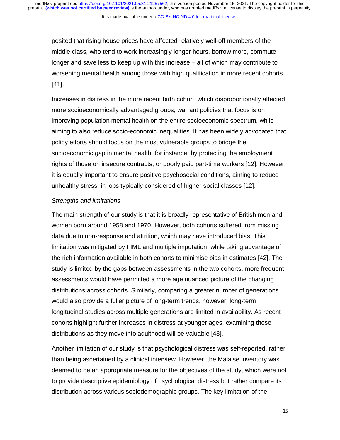It is made available under a CC-BY-NC-ND 4.0 International license.

posited that rising house prices have affected relatively well-off members of the middle class, who tend to work increasingly longer hours, borrow more, commute longer and save less to keep up with this increase – all of which may contribute to worsening mental health among those with high qualification in more recent cohorts [41].

Increases in distress in the more recent birth cohort, which disproportionally affected more socioeconomically advantaged groups, warrant policies that focus is on improving population mental health on the entire socioeconomic spectrum, while aiming to also reduce socio-economic inequalities. It has been widely advocated that policy efforts should focus on the most vulnerable groups to bridge the socioeconomic gap in mental health, for instance, by protecting the employment rights of those on insecure contracts, or poorly paid part-time workers [12]. However, it is equally important to ensure positive psychosocial conditions, aiming to reduce unhealthy stress, in jobs typically considered of higher social classes [12].

#### *Strengths and limitations*

The main strength of our study is that it is broadly representative of British men and women born around 1958 and 1970. However, both cohorts suffered from missing data due to non-response and attrition, which may have introduced bias. This limitation was mitigated by FIML and multiple imputation, while taking advantage of the rich information available in both cohorts to minimise bias in estimates [42]. The study is limited by the gaps between assessments in the two cohorts, more frequent assessments would have permitted a more age nuanced picture of the changing distributions across cohorts. Similarly, comparing a greater number of generations would also provide a fuller picture of long-term trends, however, long-term longitudinal studies across multiple generations are limited in availability. As recent cohorts highlight further increases in distress at younger ages, examining these distributions as they move into adulthood will be valuable [43].

Another limitation of our study is that psychological distress was self-reported, rather than being ascertained by a clinical interview. However, the Malaise Inventory was deemed to be an appropriate measure for the objectives of the study, which were not to provide descriptive epidemiology of psychological distress but rather compare its distribution across various sociodemographic groups. The key limitation of the

15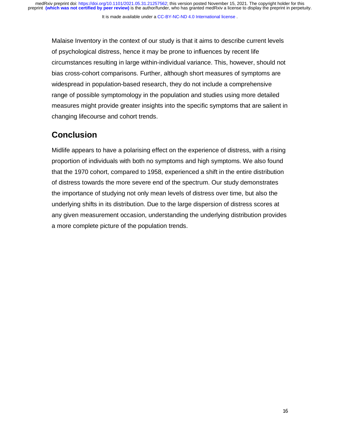Malaise Inventory in the context of our study is that it aims to describe current levels of psychological distress, hence it may be prone to influences by recent life circumstances resulting in large within-individual variance. This, however, should not bias cross-cohort comparisons. Further, although short measures of symptoms are widespread in population-based research, they do not include a comprehensive range of possible symptomology in the population and studies using more detailed measures might provide greater insights into the specific symptoms that are salient in changing lifecourse and cohort trends.

## **Conclusion**

Midlife appears to have a polarising effect on the experience of distress, with a rising proportion of individuals with both no symptoms and high symptoms. We also found that the 1970 cohort, compared to 1958, experienced a shift in the entire distribution of distress towards the more severe end of the spectrum. Our study demonstrates the importance of studying not only mean levels of distress over time, but also the underlying shifts in its distribution. Due to the large dispersion of distress scores at any given measurement occasion, understanding the underlying distribution provides a more complete picture of the population trends.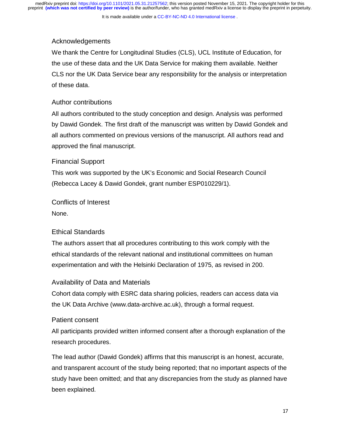## Acknowledgements

We thank the Centre for Longitudinal Studies (CLS), UCL Institute of Education, for the use of these data and the UK Data Service for making them available. Neither CLS nor the UK Data Service bear any responsibility for the analysis or interpretation of these data.

## Author contributions

All authors contributed to the study conception and design. Analysis was performed by Dawid Gondek. The first draft of the manuscript was written by Dawid Gondek and all authors commented on previous versions of the manuscript. All authors read and approved the final manuscript.

## Financial Support

This work was supported by the UK's Economic and Social Research Council (Rebecca Lacey & Dawid Gondek, grant number ESP010229/1).

Conflicts of Interest

None.

## Ethical Standards

The authors assert that all procedures contributing to this work comply with the ethical standards of the relevant national and institutional committees on human experimentation and with the Helsinki Declaration of 1975, as revised in 200.

## Availability of Data and Materials

Cohort data comply with ESRC data sharing policies, readers can access data via the UK Data Archive (www.data-archive.ac.uk), through a formal request.

## Patient consent

All participants provided written informed consent after a thorough explanation of the research procedures.

The lead author (Dawid Gondek) affirms that this manuscript is an honest, accurate, and transparent account of the study being reported; that no important aspects of the study have been omitted; and that any discrepancies from the study as planned have been explained.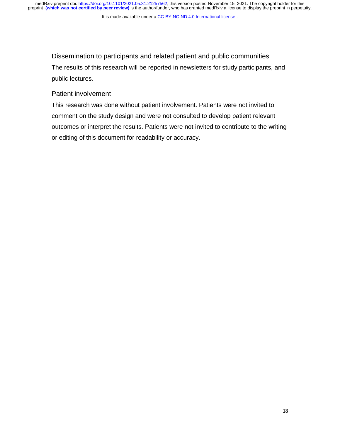medRxiv preprint doi: [https://doi.org/10.1101/2021.05.31.21257562;](https://doi.org/10.1101/2021.05.31.21257562) this version posted November 15, 2021. The copyright holder for this<br>preprint (which was not certified by peer review) is the author/funder, who has grante

It is made available under a CC-BY-NC-ND 4.0 International license.

Dissemination to participants and related patient and public communities The results of this research will be reported in newsletters for study participants, and public lectures.

### Patient involvement

This research was done without patient involvement. Patients were not invited to comment on the study design and were not consulted to develop patient relevant outcomes or interpret the results. Patients were not invited to contribute to the writing or editing of this document for readability or accuracy.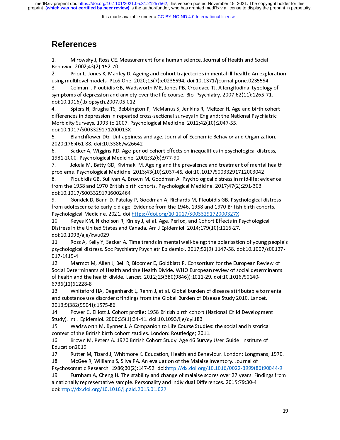It is made available under a [CC-BY-NC-ND 4.0 International license](http://creativecommons.org/licenses/by-nc-nd/4.0/) .

## **References**

Behavior. 2002;43(2):152-70.<br>
2. Prior L, Jones K, Manley D. Ageing and cohort trajectories in mental ill-health: An expl<br>
using multilevel models. PLoS One. 2020;15(7):e0235594. doi:10.1371/journal.pone.0235594.<br>
3. Colma 2. Prior L, Jones K, Manlusing multilevel models. PLoS<br>3. Colman I, Ploubidis GI<br>8. Colman I, Ploubidis GI<br>4. Spiers N, Brugha TS, B 2. Spirit Unit and September 2002, 15(7): e0235594. doi:10.1371/journal.pone.0235594.<br>
2. Colman I, Ploubidis GB, Wadsworth ME, Jones PB, Croudace TJ. A longitudinal typology of<br>
2. Spiers M, Brugha TS, Bebbington P, McMan

Colman I, Ploubidis GB, Wadsworth ME, Jones PB, Croudace TJ. A longitudinal typology<br>symptoms of depression and anxiety over the life course. Biol Psychiatry. 2007;62(11):1265-71<br>doi:10.1016/j.biopsych.2007.05.012<br>4. Spier symptoms of depression and anxiety over the life course. Biol Psychiatry. 2007;62(11):1265-71.<br>doi:10.1016/j.biopsych.2007.05.012<br>4. Spiers N, Brugha TS, Bebbington P, McManus S, Jenkins R, Meltzer H. Age and birth cohort<br> stymptoms of depression and any of depression and any oriental and any oriental and any oriental and any orient<br>Any Spiers N, Brugha TS, Bebbington P, McManus S, Jenkins R, Meltzer H. Age and birth cohold differences in de 4. Spiers N, Brugha TS, Bebbing<br>differences in depression in repeated<br>Morbidity Surveys, 1993 to 2007. Psy<br>doi:10.1017/S003329171200013X<br>5. Blanchflower DG. Unhappine<br>2020;176:461-88. doi:10.3386/w266 differences in depression in repeated cross-sectional surveys in England: the National Psychiatric<br>Morbidity Surveys, 1993 to 2007. Psychological Medicine. 2012;42(10):2047-55.<br>doi:10.1017/S003329171200013X<br>5. Blanchflower

Morbidity Surveys, 1993 to 2007. Psychological Medicine. 2012;42(10):2047-55.<br>doi:10.1017/S003329171200013X<br>5. Blanchflower DG. Unhappiness and age. Journal of Economic Behavior and Organization.<br>2020;176:461-88. doi:10.33 Moi:10.1017/S003329171200013X<br>
Blanchflower DG. Unhappiness and age. Journal of Economic Behavior are<br>
2020:176:461-88. doi:10.3386/w26642<br>
6. Sacker A, Wiggins RD. Age-period-cohort effects on inequalities in psychologica

doi:10.1017/S003329171200013X<br>
5. Blanchflower DG. Unhappiness and age. Journal of Economic Behavior and Organization.<br>
2020;176:461-88. doi:10.3386/w26642<br>
6. Sacker A, Wiggins RD. Age-period-cohort effects on inequalitie 2020;176:461-88. doi:10.3386/w26642<br>6. Sacker A, Wiggins RD. Age-period-cohort effects on inequalities in psychological distress,<br>1981-2000. Psychological Medicine. 2002;32(6):977-90.<br>7. Jokela M, Batty GD, Kivimaki M. Age

6. Sacker A, Wiggins RD. Age-peric<br>1981-2000. Psychological Medicine. 200<br>7. Jokela M, Batty GD, Kivimaki M.<br>problems. Psychological Medicine. 2013<br>8. Ploubidis GB, Sullivan A, Brown<br>from the 1958 and 1970 British birth co 7. Jokela M, Batty GD, Kivimaki M. Ageing and the prevalence and treatment of mental health<br>problems. Psychological Medicine. 2013;43(10):2037-45. doi:10.1017/S0033291712003042<br>8. Ploubidis GB, Sullivan A, Brown M, Goodman 1982-1992-1992-2002; Jokela M, Batty GD, Kivimaki M. Ageing and the<br>problems. Psychological Medicine. 2013;43(10):2037-45<br>8. Ploubidis GB, Sullivan A, Brown M, Goodman A.<br>from the 1958 and 1970 British birth cohorts. Psych problems. Psychological Medicine. 2013;43(10):2037-45. doi:10.1017/S0033291712003042<br>8. Ploubidis GB, Sullivan A, Brown M, Goodman A. Psychological distress in mid-life: evidence<br>from the 1958 and 1970 British birth cohort

from the 1958 and 1970 British birth cohorts. Psychological Medicine. 2017;47(2):291-303.<br>doi:10.1017/S0033291716002464<br>9. Gondek D, Bann D, Patalay P, Goodman A, Richards M, Ploubidis GB. Psychological distre<br>from adoles Gondek D, Bann D, Patalay P, Goodman A, Richards M, Ploubidis GB. Psychological distress doi:10.1017/S0033291716002464<br>9. Gondek D, Bann D, Patalay P, Goodman A, Richards M, Ploubidis GB. Psychological of<br>from adolescence to early old age: Evidence from the 1946, 1958 and 1970 British birth coh<br>Psychological M 9. Gondek D, Bann D, Patalay<br>from adolescence to early old age:<br>Psychological Medicine. 2021. doi:<br>10. Keyes KM, Nicholson R, Kir<br>Distress in the United States and C.<br>doi:10.1093/aje/kwu029

Psychological Medicine. 2021. doi: https://doi.org/10.1017/S003329172000327X<br>10. Keyes KM, Nicholson R, Kinley J, et al. Age, Period, and Cohort Effects in Psychological<br>Distress in the United States and Canada. Am J Epide

doi:10.1093/aje/kwu029<br>11. Ross A, Kelly Y, Sacker A, Time trends in mental well-being: the polarisation of young people's Distress in the United States and Canada. Am J Epidemiol. 2014;179(10):1216-27.<br>doi:10.1093/aje/kwu029<br>11. Ross A, Kelly Y, Sacker A. Time trends in mental well-being: the polarisatic<br>psychological distress. Soc Psychiatry 10. Keyes KM, Nicholson R, Kelly Y, Sacker A. Time trends in mental well-being: the polarisation of young p<br>11. Ross A, Kelly Y, Sacker A. Time trends in mental well-being: the polarisation of young p<br>11. Ross A, Kelly Y, doi:10.1093/aje/kwu029<br>11. Ross A, Kelly Y, Sacker A. Time trends in mental well-being: the polarisatio<br>psychological distress. Soc Psychiatry Psychiatr Epidemiol. 2017;52(9):1147-58. do<br>017-1419-4<br>12. Marmot M, Allen J, B

11. Ross A, Kelly Y, Sacker A. Time trends in mental well-being: the polarisation of young people's<br>psychological distress. Soc Psychiatry Psychiatr Epidemiol. 2017;52(9):1147-58. doi:10.1007/s00127-<br>017-1419-4<br>12. Marmot 12. Marmot M, Allen J, Bell R, Bloomer E, Goldblatt P, Consortium for the European Review of<br>Social Determinants of Health and the Health Divide. WHO European review of social determinants<br>of health and the health divide. Social Determinants of Health and the Health Divide. WHO European review of social determinants<br>of health and the health divide. Lancet. 2012;15(380(9846)):1011-29. doi:10.1016/S0140-<br>6736(12)61228-8<br>13. Whiteford HA, Dege

of health and the health divide. Lancet. 2012;15(380(9846)):1011-29. doi:10.1016/S0140-<br>6736(12)61228-8<br>13. Whiteford HA, Degenhardt L, Rehm J, et al. Global burden of disease attributable<br>and substance use disorders: find of health and the health divide. Lancet. 2012;15(380(9846)):1011-29. doi:10.1016/S0140-<br>6736(12)61228-8<br>13. Whiteford HA, Degenhardt L, Rehm J, et al. Global burden of disease attributable to mental<br>and substance use disor of 12)61228-8<br>
13. Whiteford HA, Degenhardt L, Rehm J, et al. Global burden of disease attributable<br>
2013;9(382(9904)):1575-86.<br>
14. Power C, Elliott J. Cohort profile: 1958 British birth cohort (National Child Develop<br>
20 13. Whiteford<br>
and substance use<br>
2013;9(382(9904)<br>
14. Power C, I<br>
Study). Int J Epide<br>
15. Wadswor and substance use disorders: findings from the Global Burden of Disease Study 2010. Lancet.<br>2013;9(382(9904)):1575-86.<br>14. Power C, Elliott J. Cohort profile: 1958 British birth cohort (National Child Development<br>Study). I

14. Power C, Elliott J. Cohort profile: 1958 British birth cohort (National Child Development<br>Study). Int J Epidemiol. 2006;35(1):34-41. doi:10.1093/ije/dyi183<br>15. Wadsworth M, Bynner J. A Companion to Life Course Studies:

2020, 2020, 2020, 2020, 2020, 2030, 2030, 2030, 2030, 2030, 2030, 2030, 2030, 2030, 2030, 2030, 2030, 2030, 2030, 2030, 2030, 2030, 2030, 2030, 2030, 2030, 2030, 2030, 2030, 2030, 2030, 2030, 2030, 2030, 2030, 2030, 2030, Study). Int J Epidemiol. 2006;35(1):34-41. doi:10.1093/ije/dyi183<br>15. Wadsworth M, Bynner J. A Companion to Life Course Studies: the social and historical<br>context of the British birth cohort studies. London: Routledge; 201 Study). Interactional Economic Differential Context of the British birth cohort studies. London: Routledge; 20<br>16. Brown M, Peters A. 1970 British Cohort Study. Age 46 Sur<br>Education2019.<br>17. Rutter M, Tizard J, Whitmore K. 15. Wadsworth M, Peters A. 1970 British Cohort Study. Age 46 Survey User Guide: Institute of<br>16. Brown M, Peters A. 1970 British Cohort Study. Age 46 Survey User Guide: Institute of<br>17. Rutter M, Tizard J, Whitmore K. Educ context of the British Birtish birth context of the British Context of Survey<br>Education2019.<br>17. Rutter M, Tizard J, Whitmore K. Education, Health and Behav<br>18. McGee R, Williams S, Silva PA. An evaluation of the Malaise i

Education2019.<br>17. Rutter M, Tizard J, Whitmore K. Education, Health and Behaviour. London: Longmans;<br>18. McGee R, Williams S, Silva PA. An evaluation of the Malaise inventory. Journal of<br>Psychosomatic Research. 1986;30(2) 17. Rutter N<br>18. McGee I<br>Psychosomatic F<br>19. Furnhan<br>a nationally repr<br>doi:<u>http://dx.do</u> 18. McGee R, Williams S, Silva PA. An evaluation of the Malaise inventory. Journal of<br>Psychosomatic Research. 1986;30(2):147-52. doi:<u>http://dx.doi.org/10.1016/0022-3999(86)90044-9</u><br>19. Furnham A, Cheng H. The stability an Psychosomatic Research. 1986;30(2):147-52. doi: http://dx.doi.org/10.1016/0022-3999(8<br>19. Furnham A, Cheng H. The stability and change of malaise scores over 27 years: Fire a nationally representative sample. Personality a Psychomatic Research. 1986;30(2):1986;40(2):1986)<br>
Psychosomatic Research. 1986;50(2):147-62. Findings from<br>
a nationally representative sample. Personality and Individual Differences. 2015;79:30-4.<br>
doi:http://dx.doi.org a nationally representative sample. Personality and Individual Differences. 2015;79:30-4.<br>doi:<u>http://dx.doi.org/10.1016/j.paid.2015.01.027</u><br>19 a nationally representative sample. Personality and Individual Differences. 2015.<br>doi:<u>http://dx.doi.org/10.1016/j.paid.2015.01.027</u> doi:<br>doi:<br>doi: http://dx.doi.org/10.10116/j.paid.2016.01.027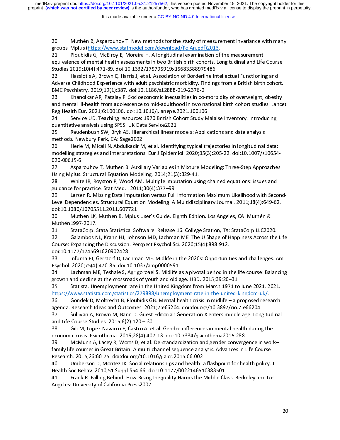20. Muthén B, Asparouhov T. New methods for the study of measurement invariance with many<br>groups. Mplus (https://www.statmodel.com/download/PolAn.pdf)2013.<br>21. Ploubidis G, McElroy E, Moreira H. A longitudinal examination equivalence of mental health assessments in two British birth cohorts. Longitudinal and Life Course

Studies 2019;10(4):471-89. doi:10.1332/175795919x15683588979486<br>22. Hassiotis A, Brown E, Harris J, et al. Association of Borderline Intellectual Functioning and<br>Adverse Childhood Experience with adult psychiatric morbidit Studies 2019;10(4):471-89. doi:10.1332/175795919x15683588979486<br>22. Hassiotis A, Brown E, Harris J, et al. Association of Borderline Intellectual Functioning and<br>Adverse Childhood Experience with adult psychiatric morbidit

22. Hassiotis A, Brown E, Harris J, et al. Association of Borderline In<br>Adverse Childhood Experience with adult psychiatric morbidity. Finding<br>BMC Psychiatry. 2019;19(1):387. doi:10.1186/s12888-019-2376-0<br>23. Khanolkar AR, 22. Hassional Service Childhood Experience with adult psychiatric morbidity. Findings from a British birth cohor<br>
22. Khanolkar AR, Patalay P. Socioeconomic inequalities in co-morbidity of overweight, obesitt and mental il AMC Psychiatry. 2019;19(1):387. doi:10.1186/s12888-019-2376-0<br>
23. Khanolkar AR, Patalay P. Socioeconomic inequalities in co-morbidity of overweight, obesity<br>
23. Khanolkar AR, Patalay P. Socioeconomic inequalities in co-m 23. Khanolkar AR, Patalay P. Socioeconomic inequalities in co-<br>and mental ill-health from adolescence to mid-adulthood in two n<br>Reg Health Eur. 2021;6:100106. doi:10.1016/j.lanepe.2021.100106<br>24. Service UD. Teaching resou 23. Khannel Health from adolescence to mid-adulthood in two national birth cohort studies. Lance<br>
24. Service UD. Teaching resource: 1970 British Cohort Study Malaise Inventory. Introducing<br>
24. Service UD. Teaching resour

Reg Health Eur. 2021;6:100106. doi:10.1016/j.lanepe.2021.100106<br>24. Service UD. Teaching resource: 1970 British Cohort Study Malaise Inventory. Introducing<br>quantitative analysis using SPSS: UK Data Service2021.<br>25. Raudenb

24. Service UD. Teaching resource: 1970 British Cohort Study M<br>quantitative analysis using SPSS: UK Data Service2021.<br>25. Raudenbush SW, Bryk AS. Hierarchical linear models: Applic<br>methods. Newbury Park, CA: Sage2002.<br>26. 22. Service United States United States Constitutions and data analysis<br>25. Service UD. British Cohors SPSS: UK Data Service 2021.<br>26. Service UD. Herle M, Micali N, Abdulkadir M, et al. Identifying typical trajectories in quantitative analysis bSW, Bryk AS. Hierarchical linear m<br>25. Raudenbush SW, Bryk AS. Hierarchical linear m<br>methods. Newbury Park, CA: Sage2002.<br>26. Herle M, Micali N, Abdulkadir M, et al. Identifyi<br>modelling s methods. Newbury Park, CA: Sage2002.<br>26. Pherle M, Micali N, Abdulkadir M, et al. Identifying typical trajectories in longitudinal<br>1920-00615-6<br>27. Pherle Material Equation Modeling. 2014;21(3):329-41.<br>28. Pherle Structura methods. Herle M, Micali N, Abdulkadir M<br>modelling strategies and interpretations<br>020-00615-6<br>27. Asparouhov T, Muthen B. Auxilia<br>Using Mplus. Structural Equation Model<br>28. White IR, Royston P, Wood AM. 26. Hereine D, Micaine Dete Insulation (1977–99.<br>26. Herle Marketins Muther M, Muther M, 2020;35(3):205-22. doi:10.1007/s10654<br>27. Asparouhov T, Muther B. Auxiliary Variables in Mixture Modeling: Three-Step Approaches<br>26.

modelling strategies and interpretations. The specifical strategies (1912) 21. Asparouhov T, Muthen B. Auxiliary Variables in Mixture Modeling: Three-Step Approaches<br>Using Mplus. Structural Equation Modeling. 2014;21(3):32

27. Asparouhov T, Muthen B. Auxiliary Variables in Mixture Modeling: Three-Step Approaches<br>Using Mplus. Structural Equation Modeling. 2014;21(3):329-41.<br>28. White IR, Royston P, Wood AM. Multiple imputation using chained e Using Mplus. Structural Equation Modeling. 2014;21(3):329-41.<br>28. White IR, Royston P, Wood AM. Multiple imputation using chained equations: issues and<br>guidance for practice. Stat Med. . 2011;30(4):377–99.<br>29. Larsen R. Mi White IR, Royston P, Wood AM. Multiple imputation usi<br>guidance for practice. Stat Med. . 2011;30(4):377–99.<br>29. Larsen R. Missing Data Imputation versus Full Informatic<br>Level Dependencies. Structural Equation Modeling: A M 28. White IR, Royselland 2011;30(4):377–99.<br>29. Larsen R. Missing Data Imputation versus Full Information Maximum Likelihood with Secc<br>28. Larsen R. Missing Data Imputation versus Full Information Maximum Likelihood with S 29. Larsen R. Missing Data Imputation versus Full<br>Level Dependencies. Structural Equation Modeling: A<br>doi:10.1080/10705511.2011.607721<br>30. Muthen LK, Muthen B. Mplus User's Guide. Ei<sub>l</sub><br>Muthén1997-2017.<br>31. StataCorp. Stat

22. Larsen Republication Republication Republication versus Full October of the Publication Maximum Likelihood 30. Muthen LK, Muthen B. Mplus User's Guide. Eighth Edition. Los Angeles, CA: Muthén &<br>Muthén1997-2017.<br>31. StataCorp. Stata Statistical Software: Release 16. College Station, TX: StataCorp LLC2020.<br>32. Galambos NL, Krahn 30. Muthen LK, Muthen B. Mplus<br>Muthén 1997-2017.<br>31. Stata Corp. Stata Statistical So<br>32. Galambos NL, Krahn HJ, John<br>Course: Expanding the Discussion. Pe<br>doi:10.1177/1745691620902428 Muthén 1997-2017.<br>31. StataCorp. Stata Statistical Software: Release 16. College Station, TX: StataCorp LLC202<br>32. Galambos NL, Krahn HJ, Johnson MD, Lachman ME. The U Shape of Happiness Across t<br>Course: Expanding the Disc Muthén<br>
31. StataCorp. S<br>
32. Galambos N<br>
Course: Expanding t<br>
doi:10.1177/174569<br>
33. Infurna FJ, C<br>
Psychol. 2020;75(4); 32. Galambos NL, Krahn HJ, Johnson MD, Lachman ME. The U Shape of Happiness Across the<br>Course: Expanding the Discussion. Perspect Psychol Sci. 2020;15(4):898-912.<br>doi:10.1177/1745691620902428<br>33. Infurna FJ, Gerstorf D, La

Course: Expanding the Discussion. Perspect Psychol Sci. 2020;15(4):898-912.<br>
33. Infurna FJ, Gerstorf D, Lachman ME. Midlife in the 2020s: Opportunities and challenges. Am<br>
Psychol. 2020;75(4):470-85. doi:10.1037/amp000059 and The Informa FJ, Gerstorf D, Lace<br>Psychol. 2020;75(4):470-85. doi:1<br>34. Lachman ME, Teshale S, A<br>growth and decline at the crossro<br>35. Statista. Unemployment i<br>https://www.statista.com/statisti

33. Infurna FJ, Gerstorf D, Lachman ME. Midlife in the 2020s: Opportunities and challenges. Am<br>Psychol. 2020;75(4):470-85. doi:10.1037/amp0000591<br>34. Lachman ME, Teshale S, Agrigoroaei S. Midlife as a pivotal period in the Psychol. 2020;75(4):470-85. doi:10.1037/amp0000591<br>34. Lachman ME, Teshale S, Agrigoroaei S. Midlife as a pivotal period in the life course: Balancing<br>growth and decline at the crossroads of youth and old age. IJBD. 2015;3

34. Lachman ME, Teshale S, Agrigoroaei S. Midlife a<br>growth and decline at the crossroads of youth and old a<br>35. Statista. Unemployment rate in the United King<br>https://www.statista.com/statistics/279898/unemploy<br>36. Gondek growth and decline at the crossroads of youth and old age. IJBD. 2015;39:20–31.<br>35. Statista. Unemployment rate in the United Kingdom from March 1971 to June 2021. 2021.<br>https://www.statista.com/statistics/279898/unemploym growth and decline at the United Kingdom from March 1971 to<br>https://www.statista.com/statistics/279898/unemployment-rate-in-the-united-k<br>36. Gondek D, Moltrecht B, Ploubidis GB. Mental health crisis in midlife – a p<br>agenda 35. Statista.com/statistics/279898/unemployment-rate-in-the-united-kingdom-uk/.<br>36. Gondek D, Moltrecht B, Ploubidis GB. Mental health crisis in midlife – a proposed research<br>37. Sullivan A, Brown M, Bann D. Guest Editoria 6. Gondek D, Moltrecht B, Ploubidis GB. Mental health crisis in midlife – a proposed rese<br>agenda. Research Ideas and Outcomes. 2021;7:e66204. doi:<u>doi.org/10.3897/rio.7.e66204</u><br>37. Sullivan A, Brown M, Bann D. Guest Editor

agenda. Research Ideas and Outcomes. 2021;7:e66204. doi:<u>doi.org/10.3897/rio.7.e66204</u><br>37. Sullivan A, Brown M, Bann D. Guest Editorial: Generation X enters middle age. Longitudinal<br>and Life Course Studies. 2015;6(2):120 –

agenda. Research Ideas and Life Course Studies. 2015;6(2):120 – 30.<br>
and Life Course Studies. 2015;6(2):120 – 30.<br>
38. Gili M, Lopez-Navarro E, Castro A, et al. Gender differences in mental health durin.<br>
economic crisis. and Life Course Studies. 2015;6(2):120 – 30.<br>38. Gili M, Lopez-Navarro E, Castro A, et al. Gender differences in mental health during the<br>economic crisis. Psicothema. 2016;28(4):407-13. doi:10.7334/psicothema2015.288<br>39. M and Life Course Studies. 2015;6(2):120 – 30.<br>
38. Gili M, Lopez-Navarro E, Castro A, et al. Gender differences in mental health during the<br>
economic crisis. Psicothema. 2016;28(4):407-13. doi:10.7334/psicothema2015.288<br>
3 economic crisis. Psicothema. 2016;28(4):407-13. doi:10.7334/psicothema2015.288<br>39. McMunn A, Lacey R, Worts D, et al. De-standardization and gender convergence in wor<br>family life courses in Great Britain: A multi-channel s economic McMunn A, Lacey R, Worts D, et al. De-standardization and gender converg<br>family life courses in Great Britain: A multi-channel sequence analysis. Advances in I<br>Research. 2015;26:60-75. doi:doi.org/10.1016/j.alcr.2 39. Martin A, 2015; 26. McMunn A, Lacey P. A, Multi-channel sequence analysis. Advances in Life Course<br>
Research. 2015;26:60-75. doi:doi.org/10.1016/j.alcr.2015.06.002<br>
40. Umberson D, Montez JK. Social relationships and h

Family Mark 2015;26:60-75. doi:doi.org/10.1016/j.alcr.2015.06.002<br>Research. 2015;26:60-75. doi:doi.org/10.1016/j.alcr.2015.06.002<br>40. Umberson D, Montez JK. Social relationships and health: a flashpoint for health policy.<br> Health Soc Behav. 2010;51 Suppl:S54-66. doi:10.1177/0022146510383501<br>41. Frank R. Falling Behind: How Rising Inequality Harms the Middle Class. Berkeley and Los<br>Angeles: University of California Press2007. Health Soc Behav. 2010;51 Suppl:S54-66. doi:10.1177/0022146510383501<br>Health Soc Behav. 2010;51 Suppl:S54-66. doi:10.1177/0022146510383501<br>41. Frank R. Falling Behind: How Rising Inequality Harms the Middle Class. Berkeley Health Society Society Property of California Press 2007.<br>Angeles: University of California Press 2007.<br>Angeles: University of California Press 2007. Angeles: University of California Press2007.<br>
The Middle Class of California Press2007.<br>
The Middle Class of Class. Berkeley and Loss. Berkeley and Loss and Loss. Berkeley and Loss and Loss. Berkele Angeles: University of California Press2007.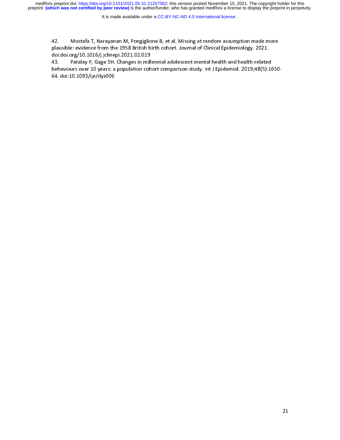medRxiv preprint doi: [https://doi.org/10.1101/2021.05.31.21257562;](https://doi.org/10.1101/2021.05.31.21257562) this version posted November 15, 2021. The copyright holder for this<br>preprint (which was not certified by peer review) is the author/funder, who has grante

It is made available under a CC-BY-NC-ND 4.0 International license.

plausible: evidence from the 1958 British birth cohort. Journal of Clinical Epidemiology. 2021.<br>doi:doi.org/10.1016/j.jclinepi.2021.02.019<br>43. Patalay P, Gage SH. Changes in millennial adolescent mental health and health-r plai:doi.org/10.1016/j.jclinepi.2021.02.019<br>43. Patalay P, Gage SH. Changes in millennial adolescent mental health and health-related<br>behaviours over 10 years: a population cohort comparison study. Int J Epidemiol. 2019;48 43. Patalay P, Gage SH. Changes in mill<br>behaviours over 10 years: a population coh<br>64. doi:10.1093/ije/dyz006 behaviours over 10 years: a population cohort comparison study. Int J Epidemiol. 2019;48(5):16<br>64. doi:10.1093/ije/dyz006<br> $b = 64$ . doi:10.1093/ije/dyz006 $\frac{1}{2}$  $64.109$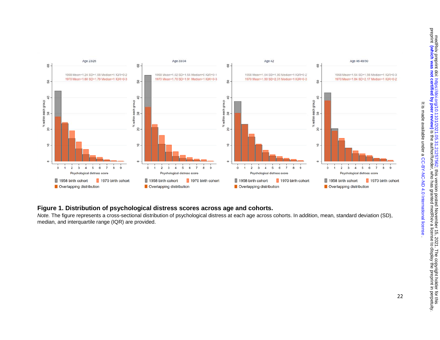

## **Figure 1. Distribution of psychological distress scores across age and cohorts.**

*Note.* The figure represents a cross-sectional distribution of psychological distress at each age across cohorts. In addition, mean, standard deviation (SD), median, and interquartile range (IQR) are provided.

. [CC-BY-NC-ND 4.0 International license](http://creativecommons.org/licenses/by-nc-nd/4.0/) It is made available under a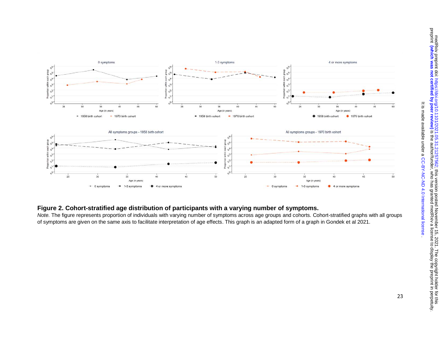

## **Figure 2. Cohort-stratified age distribution of participants with a varying number of symptoms.**

*Note.* The figure represents proportion of individuals with varying number of symptoms across age groups and cohorts. Cohort-stratified graphs with all groups of symptoms are given on the same axis to facilitate interpretation of age effects. This graph is an adapted form of a graph in Gondek et al 2021.

. [CC-BY-NC-ND 4.0 International license](http://creativecommons.org/licenses/by-nc-nd/4.0/) It is made available under a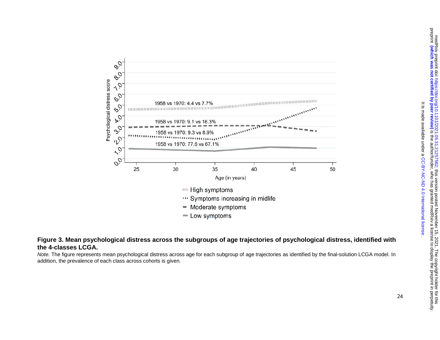

## **Figure 3. Mean psychological distress across the subgroups of age trajectories of psychological distress, identified with the 4-classes LCGA.**

*Note.* The figure represents mean psychological distress across age for each subgroup of age trajectories as identified by the final-solution LCGA model. In addition, the prevalence of each class across cohorts is given.

. [CC-BY-NC-ND 4.0 International license](http://creativecommons.org/licenses/by-nc-nd/4.0/) It is made available under a